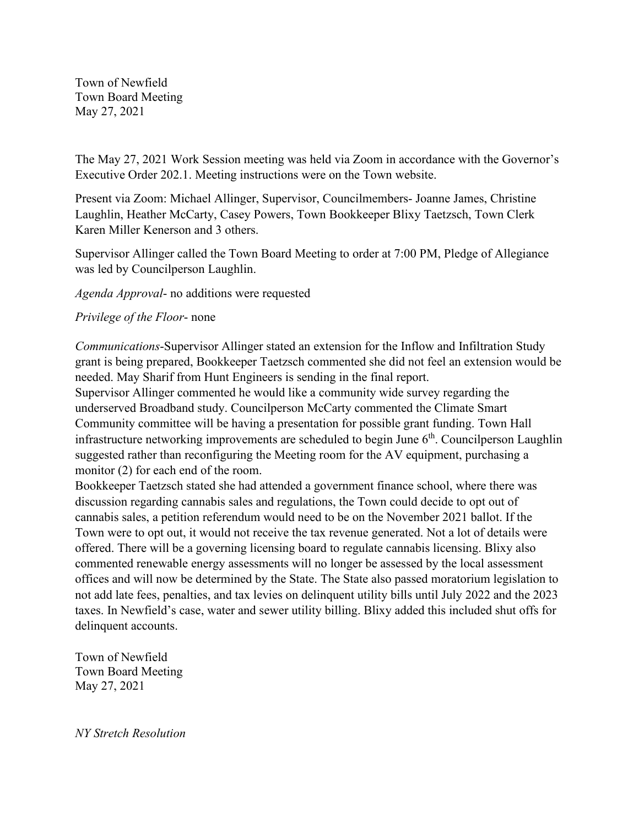Town of Newfield Town Board Meeting May 27, 2021

The May 27, 2021 Work Session meeting was held via Zoom in accordance with the Governor's Executive Order 202.1. Meeting instructions were on the Town website.

Present via Zoom: Michael Allinger, Supervisor, Councilmembers- Joanne James, Christine Laughlin, Heather McCarty, Casey Powers, Town Bookkeeper Blixy Taetzsch, Town Clerk Karen Miller Kenerson and 3 others.

Supervisor Allinger called the Town Board Meeting to order at 7:00 PM, Pledge of Allegiance was led by Councilperson Laughlin.

*Agenda Approval*- no additions were requested

## *Privilege of the Floor*- none

*Communications*-Supervisor Allinger stated an extension for the Inflow and Infiltration Study grant is being prepared, Bookkeeper Taetzsch commented she did not feel an extension would be needed. May Sharif from Hunt Engineers is sending in the final report.

Supervisor Allinger commented he would like a community wide survey regarding the underserved Broadband study. Councilperson McCarty commented the Climate Smart Community committee will be having a presentation for possible grant funding. Town Hall infrastructure networking improvements are scheduled to begin June 6<sup>th</sup>. Councilperson Laughlin suggested rather than reconfiguring the Meeting room for the AV equipment, purchasing a monitor (2) for each end of the room.

Bookkeeper Taetzsch stated she had attended a government finance school, where there was discussion regarding cannabis sales and regulations, the Town could decide to opt out of cannabis sales, a petition referendum would need to be on the November 2021 ballot. If the Town were to opt out, it would not receive the tax revenue generated. Not a lot of details were offered. There will be a governing licensing board to regulate cannabis licensing. Blixy also commented renewable energy assessments will no longer be assessed by the local assessment offices and will now be determined by the State. The State also passed moratorium legislation to not add late fees, penalties, and tax levies on delinquent utility bills until July 2022 and the 2023 taxes. In Newfield's case, water and sewer utility billing. Blixy added this included shut offs for delinquent accounts.

Town of Newfield Town Board Meeting May 27, 2021

*NY Stretch Resolution*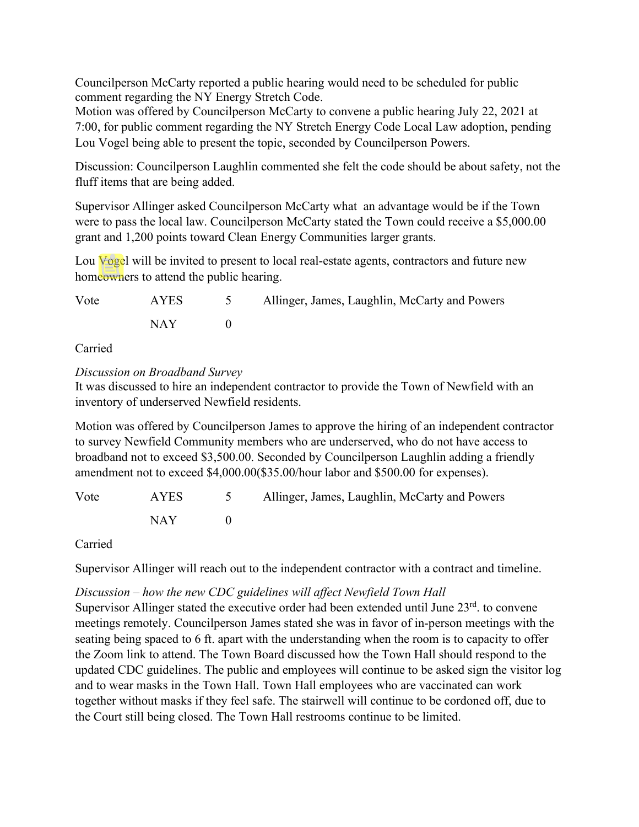Councilperson McCarty reported a public hearing would need to be scheduled for public comment regarding the NY Energy Stretch Code.

Motion was offered by Councilperson McCarty to convene a public hearing July 22, 2021 at 7:00, for public comment regarding the NY Stretch Energy Code Local Law adoption, pending Lou Vogel being able to present the topic, seconded by Councilperson Powers.

Discussion: Councilperson Laughlin commented she felt the code should be about safety, not the fluff items that are being added.

Supervisor Allinger asked Councilperson McCarty what an advantage would be if the Town were to pass the local law. Councilperson McCarty stated the Town could receive a \$5,000.00 grant and 1,200 points toward Clean Energy Communities larger grants.

Lou Vogel will be invited to present to local real-estate agents, contractors and future new homeowners to attend the public hearing.

| Vote | AYES | 5 Allinger, James, Laughlin, McCarty and Powers |
|------|------|-------------------------------------------------|
|      | NAY  |                                                 |

Carried

*Discussion on Broadband Survey*

It was discussed to hire an independent contractor to provide the Town of Newfield with an inventory of underserved Newfield residents.

Motion was offered by Councilperson James to approve the hiring of an independent contractor to survey Newfield Community members who are underserved, who do not have access to broadband not to exceed \$3,500.00. Seconded by Councilperson Laughlin adding a friendly amendment not to exceed \$4,000.00(\$35.00/hour labor and \$500.00 for expenses).

| Vote | AYES  | 5 Allinger, James, Laughlin, McCarty and Powers |
|------|-------|-------------------------------------------------|
|      | NAY 1 |                                                 |

Carried

Supervisor Allinger will reach out to the independent contractor with a contract and timeline.

## *Discussion – how the new CDC guidelines will affect Newfield Town Hall*

Supervisor Allinger stated the executive order had been extended until June  $23<sup>rd</sup>$ . to convene meetings remotely. Councilperson James stated she was in favor of in-person meetings with the seating being spaced to 6 ft. apart with the understanding when the room is to capacity to offer the Zoom link to attend. The Town Board discussed how the Town Hall should respond to the updated CDC guidelines. The public and employees will continue to be asked sign the visitor log and to wear masks in the Town Hall. Town Hall employees who are vaccinated can work together without masks if they feel safe. The stairwell will continue to be cordoned off, due to the Court still being closed. The Town Hall restrooms continue to be limited.